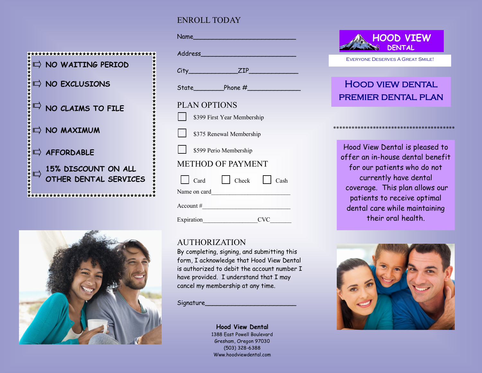#### ENROLL TODAY





| <u>Name _________________________</u> |
|---------------------------------------|
|                                       |
| $City$ $ZIP$                          |
|                                       |
| <b>PLAN OPTIONS</b>                   |
| \$399 First Year Membership           |
| S375 Renewal Membership               |
| S599 Perio Membership                 |
| <b>METHOD OF PAYMENT</b>              |
| Card Check Cash                       |
|                                       |
| Account #                             |
|                                       |

#### AUTHORIZATION

By completing, signing, and submitting this form, I acknowledge that Hood View Dental is authorized to debit the account number I have provided. I understand that I may cancel my membership at any time.

Signature\_\_\_\_\_\_\_\_\_\_\_\_\_\_\_\_\_\_\_\_\_\_\_\_

**Hood View Dental** 1388 East Powell Boulevard Gresham, Oregon 97030 (503) 328-6388 Www.hoodviewdental.com



Everyone Deserves A Great Smile!

# Hood view dental premier dental plan

\*\*\*\*\*\*\*\*\*\*\*\*\*\*\*\*\*\*\*\*\*\*\*\*\*\*\*\*\*\*\*\*\*\*\*\*\*\*\*\*

Hood View Dental is pleased to offer an in-house dental benefit for our patients who do not currently have dental coverage. This plan allows our patients to receive optimal dental care while maintaining their oral health.